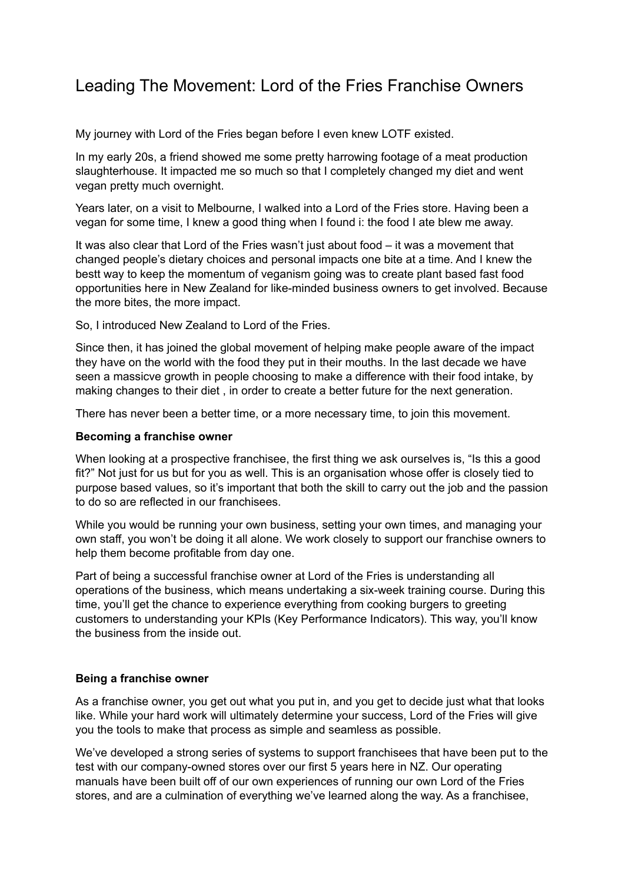## Leading The Movement: Lord of the Fries Franchise Owners

My journey with Lord of the Fries began before I even knew LOTF existed.

In my early 20s, a friend showed me some pretty harrowing footage of a meat production slaughterhouse. It impacted me so much so that I completely changed my diet and went vegan pretty much overnight.

Years later, on a visit to Melbourne, I walked into a Lord of the Fries store. Having been a vegan for some time, I knew a good thing when I found i: the food I ate blew me away.

It was also clear that Lord of the Fries wasn't just about food – it was a movement that changed people's dietary choices and personal impacts one bite at a time. And I knew the bestt way to keep the momentum of veganism going was to create plant based fast food opportunities here in New Zealand for like-minded business owners to get involved. Because the more bites, the more impact.

So, I introduced New Zealand to Lord of the Fries.

Since then, it has joined the global movement of helping make people aware of the impact they have on the world with the food they put in their mouths. In the last decade we have seen a massicve growth in people choosing to make a difference with their food intake, by making changes to their diet , in order to create a better future for the next generation.

There has never been a better time, or a more necessary time, to join this movement.

## **Becoming a franchise owner**

When looking at a prospective franchisee, the first thing we ask ourselves is, "Is this a good fit?" Not just for us but for you as well. This is an organisation whose offer is closely tied to purpose based values, so it's important that both the skill to carry out the job and the passion to do so are reflected in our franchisees.

While you would be running your own business, setting your own times, and managing your own staff, you won't be doing it all alone. We work closely to support our franchise owners to help them become profitable from day one.

Part of being a successful franchise owner at Lord of the Fries is understanding all operations of the business, which means undertaking a six-week training course. During this time, you'll get the chance to experience everything from cooking burgers to greeting customers to understanding your KPIs (Key Performance Indicators). This way, you'll know the business from the inside out.

## **Being a franchise owner**

As a franchise owner, you get out what you put in, and you get to decide just what that looks like. While your hard work will ultimately determine your success, Lord of the Fries will give you the tools to make that process as simple and seamless as possible.

We've developed a strong series of systems to support franchisees that have been put to the test with our company-owned stores over our first 5 years here in NZ. Our operating manuals have been built off of our own experiences of running our own Lord of the Fries stores, and are a culmination of everything we've learned along the way. As a franchisee,